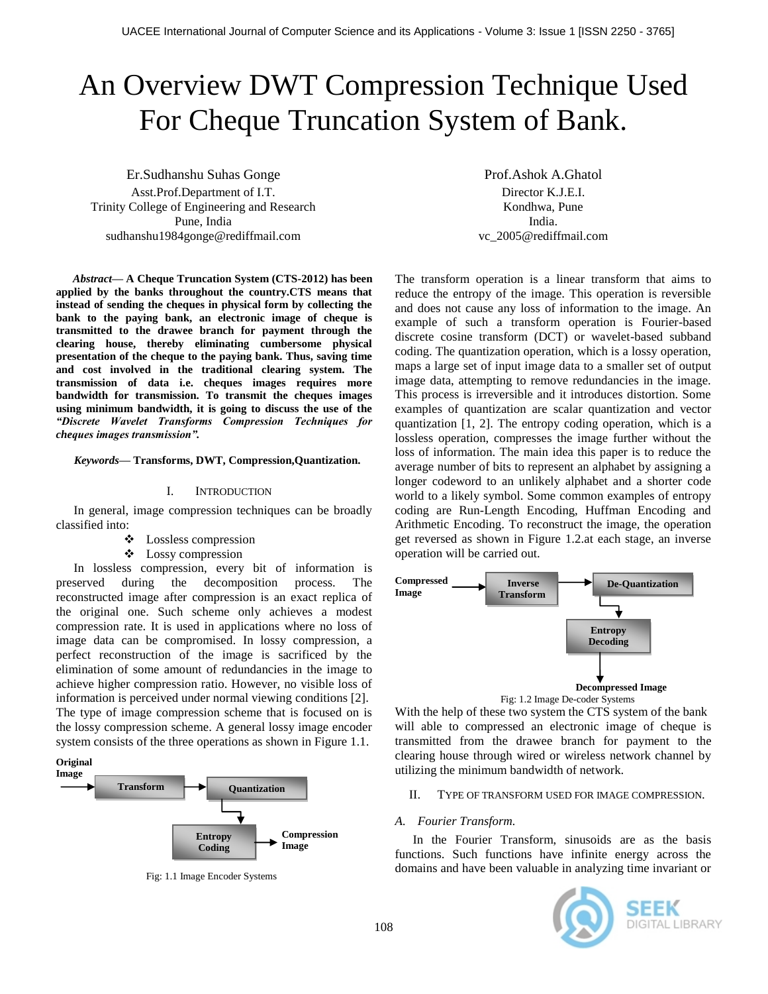# An Overview DWT Compression Technique Used For Cheque Truncation System of Bank.

Er.Sudhanshu Suhas Gonge Asst.Prof.Department of I.T. Trinity College of Engineering and Research Pune, India sudhanshu1984gonge@rediffmail.com

*Abstract***— A Cheque Truncation System (CTS-2012) has been applied by the banks throughout the country.CTS means that instead of sending the cheques in physical form by collecting the bank to the paying bank, an electronic image of cheque is transmitted to the drawee branch for payment through the clearing house, thereby eliminating cumbersome physical presentation of the cheque to the paying bank. Thus, saving time and cost involved in the traditional clearing system. The transmission of data i.e. cheques images requires more bandwidth for transmission. To transmit the cheques images using minimum bandwidth, it is going to discuss the use of the**  *"Discrete Wavelet Transforms Compression Techniques for cheques images transmission".*

#### *Keywords—* **Transforms, DWT, Compression,Quantization.**

#### I. INTRODUCTION

In general, image compression techniques can be broadly classified into:

- Lossless compression
- Lossy compression

In lossless compression, every bit of information is preserved during the decomposition process. The reconstructed image after compression is an exact replica of the original one. Such scheme only achieves a modest compression rate. It is used in applications where no loss of image data can be compromised. In lossy compression, a perfect reconstruction of the image is sacrificed by the elimination of some amount of redundancies in the image to achieve higher compression ratio. However, no visible loss of information is perceived under normal viewing conditions [2]. The type of image compression scheme that is focused on is the lossy compression scheme. A general lossy image encoder system consists of the three operations as shown in Figure 1.1.

# **Original**



Fig: 1.1 Image Encoder Systems

Prof.Ashok A.Ghatol Director K.J.E.I. Kondhwa, Pune India. vc\_2005@rediffmail.com

The transform operation is a linear transform that aims to reduce the entropy of the image. This operation is reversible and does not cause any loss of information to the image. An example of such a transform operation is Fourier-based discrete cosine transform (DCT) or wavelet-based subband coding. The quantization operation, which is a lossy operation, maps a large set of input image data to a smaller set of output image data, attempting to remove redundancies in the image. This process is irreversible and it introduces distortion. Some examples of quantization are scalar quantization and vector quantization [1, 2]. The entropy coding operation, which is a lossless operation, compresses the image further without the loss of information. The main idea this paper is to reduce the average number of bits to represent an alphabet by assigning a longer codeword to an unlikely alphabet and a shorter code world to a likely symbol. Some common examples of entropy coding are Run-Length Encoding, Huffman Encoding and Arithmetic Encoding. To reconstruct the image, the operation get reversed as shown in Figure 1.2.at each stage, an inverse operation will be carried out.



With the help of these two system the CTS system of the bank will able to compressed an electronic image of cheque is transmitted from the drawee branch for payment to the clearing house through wired or wireless network channel by utilizing the minimum bandwidth of network.

#### II. TYPE OF TRANSFORM USED FOR IMAGE COMPRESSION.

#### *A. Fourier Transform.*

In the Fourier Transform, sinusoids are as the basis functions. Such functions have infinite energy across the domains and have been valuable in analyzing time invariant or

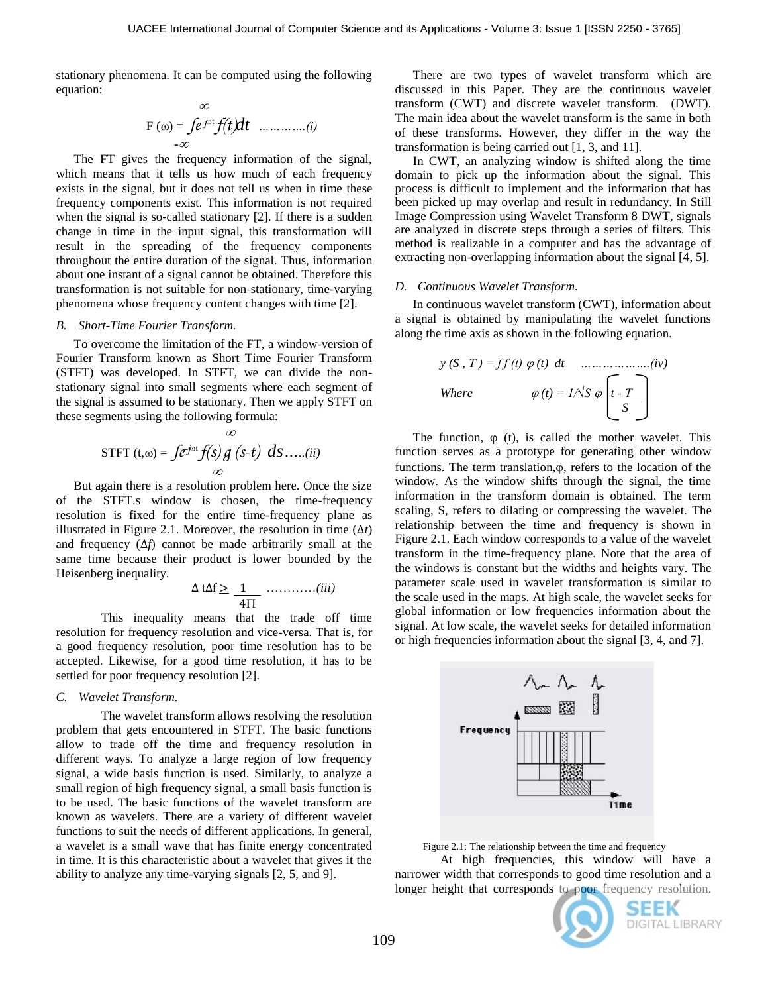stationary phenomena. It can be computed using the following equation:

$$
\mathbf{F}(\omega) = \int e^{j\omega t} f(t) dt \quad .... \quad ...(i)
$$

The FT gives the frequency information of the signal, which means that it tells us how much of each frequency exists in the signal, but it does not tell us when in time these frequency components exist. This information is not required when the signal is so-called stationary [2]. If there is a sudden change in time in the input signal, this transformation will result in the spreading of the frequency components throughout the entire duration of the signal. Thus, information about one instant of a signal cannot be obtained. Therefore this transformation is not suitable for non-stationary, time-varying phenomena whose frequency content changes with time [2].

## *B. Short-Time Fourier Transform.*

To overcome the limitation of the FT, a window-version of Fourier Transform known as Short Time Fourier Transform (STFT) was developed. In STFT, we can divide the nonstationary signal into small segments where each segment of the signal is assumed to be stationary. Then we apply STFT on these segments using the following formula:

$$
\text{STFT} \ (t, \omega) = \int e^{-j\omega t} f(s) \, g \ (s-t) \ ds \dots (ii)
$$

But again there is a resolution problem here. Once the size of the STFT.s window is chosen, the time-frequency resolution is fixed for the entire time-frequency plane as illustrated in Figure 2.1. Moreover, the resolution in time  $(\Delta t)$ and frequency (∆*f*) cannot be made arbitrarily small at the same time because their product is lower bounded by the Heisenberg inequality.

$$
\Delta t \Delta f \ge \frac{1}{4\Pi} \dots \dots \dots \dots (iii)
$$

This inequality means that the trade off time resolution for frequency resolution and vice-versa. That is, for a good frequency resolution, poor time resolution has to be accepted. Likewise, for a good time resolution, it has to be settled for poor frequency resolution [2].

#### *C. Wavelet Transform.*

The wavelet transform allows resolving the resolution problem that gets encountered in STFT. The basic functions allow to trade off the time and frequency resolution in different ways. To analyze a large region of low frequency signal, a wide basis function is used. Similarly, to analyze a small region of high frequency signal, a small basis function is to be used. The basic functions of the wavelet transform are known as wavelets. There are a variety of different wavelet functions to suit the needs of different applications. In general, a wavelet is a small wave that has finite energy concentrated in time. It is this characteristic about a wavelet that gives it the ability to analyze any time-varying signals [2, 5, and 9].

There are two types of wavelet transform which are discussed in this Paper. They are the continuous wavelet transform (CWT) and discrete wavelet transform. (DWT). The main idea about the wavelet transform is the same in both of these transforms. However, they differ in the way the transformation is being carried out [1, 3, and 11].

In CWT, an analyzing window is shifted along the time domain to pick up the information about the signal. This process is difficult to implement and the information that has been picked up may overlap and result in redundancy. In Still Image Compression using Wavelet Transform 8 DWT, signals are analyzed in discrete steps through a series of filters. This method is realizable in a computer and has the advantage of extracting non-overlapping information about the signal [4, 5].

#### *D. Continuous Wavelet Transform.*

In continuous wavelet transform (CWT), information about a signal is obtained by manipulating the wavelet functions along the time axis as shown in the following equation.

$$
y(S, T) = ff(t) \varphi(t) dt
$$
 ....... (iv)  
Where 
$$
\varphi(t) = 1/\sqrt{S} \varphi \left[ \frac{t \cdot T}{S} \right]
$$

The function,  $\varphi$  (t), is called the mother wavelet. This function serves as a prototype for generating other window functions. The term translation, $\varphi$ , refers to the location of the window. As the window shifts through the signal, the time information in the transform domain is obtained. The term scaling, S, refers to dilating or compressing the wavelet. The relationship between the time and frequency is shown in Figure 2.1. Each window corresponds to a value of the wavelet transform in the time-frequency plane. Note that the area of the windows is constant but the widths and heights vary. The parameter scale used in wavelet transformation is similar to the scale used in the maps. At high scale, the wavelet seeks for global information or low frequencies information about the signal. At low scale, the wavelet seeks for detailed information or high frequencies information about the signal [3, 4, and 7].



Figure 2.1: The relationship between the time and frequency

At high frequencies, this window will have a narrower width that corresponds to good time resolution and a longer height that corresponds to poor frequency resolution.

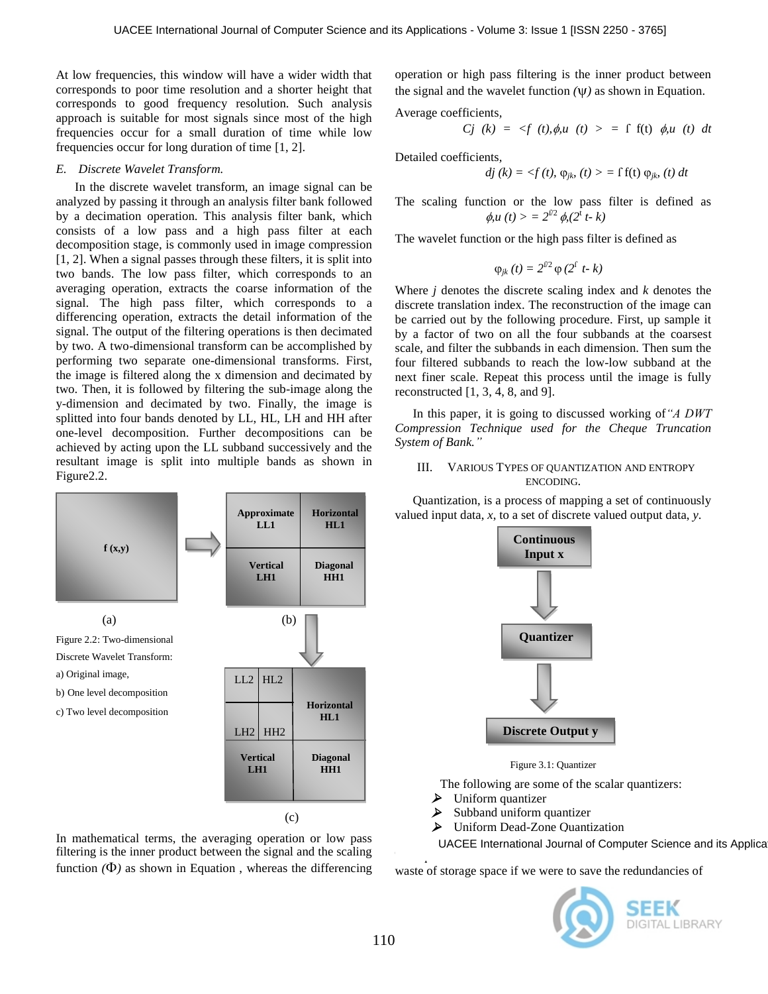At low frequencies, this window will have a wider width that corresponds to poor time resolution and a shorter height that corresponds to good frequency resolution. Such analysis approach is suitable for most signals since most of the high frequencies occur for a small duration of time while low frequencies occur for long duration of time [1, 2].

#### *E. Discrete Wavelet Transform.*

 In the discrete wavelet transform, an image signal can be analyzed by passing it through an analysis filter bank followed by a decimation operation. This analysis filter bank, which consists of a low pass and a high pass filter at each decomposition stage, is commonly used in image compression [1, 2]. When a signal passes through these filters, it is split into two bands. The low pass filter, which corresponds to an averaging operation, extracts the coarse information of the signal. The high pass filter, which corresponds to a differencing operation, extracts the detail information of the signal. The output of the filtering operations is then decimated by two. A two-dimensional transform can be accomplished by performing two separate one-dimensional transforms. First, the image is filtered along the x dimension and decimated by two. Then, it is followed by filtering the sub-image along the y-dimension and decimated by two. Finally, the image is splitted into four bands denoted by LL, HL, LH and HH after one-level decomposition. Further decompositions can be achieved by acting upon the LL subband successively and the resultant image is split into multiple bands as shown in Figure2.2.



In mathematical terms, the averaging operation or low pass filtering is the inner product between the signal and the scaling function  $(\Phi)$  as shown in Equation, whereas the differencing operation or high pass filtering is the inner product between the signal and the wavelet function  $(\Psi)$  as shown in Equation.

Average coefficients*,*

*Cj* (*k*) = 
$$
\langle f(t), \phi, u(t) \rangle = \int f(t) \phi, u(t) dt
$$

Detailed coefficients*,*

$$
dj (k) = \langle f(t), \varphi_{jk} (t) \rangle = \int f(t) \varphi_{jk} (t) dt
$$

The scaling function or the low pass filter is defined as  $\phi, u(t) > 2^{f/2} \phi, (2^t t - k)$ 

The wavelet function or the high pass filter is defined as

$$
\varphi_{jk}(t)=2^{\Gamma2}\varphi(2^{\Gamma} t-k)
$$

Where *j* denotes the discrete scaling index and *k* denotes the discrete translation index. The reconstruction of the image can be carried out by the following procedure. First, up sample it by a factor of two on all the four subbands at the coarsest scale, and filter the subbands in each dimension. Then sum the four filtered subbands to reach the low-low subband at the next finer scale. Repeat this process until the image is fully reconstructed  $[1, 3, 4, 8, \text{ and } 9]$ .

In this paper, it is going to discussed working of*"A DWT Compression Technique used for the Cheque Truncation System of Bank."*

## III. VARIOUS TYPES OF QUANTIZATION AND ENTROPY ENCODING.

Quantization, is a process of mapping a set of continuously valued input data, *x*, to a set of discrete valued output data, *y*.



Figure 3.1: Quantizer

The following are some of the scalar quantizers:

- Uniform quantizer
- $\triangleright$  Subband uniform quantizer<br> $\triangleright$  Uniform Dead-Zone Quanti
- Uniform Dead-Zone Quantization
- UACEE International Journal of Computer Science and its Applica

The quantized data contains redundant information. It is a waste of storage space if we were to save the redundancies of

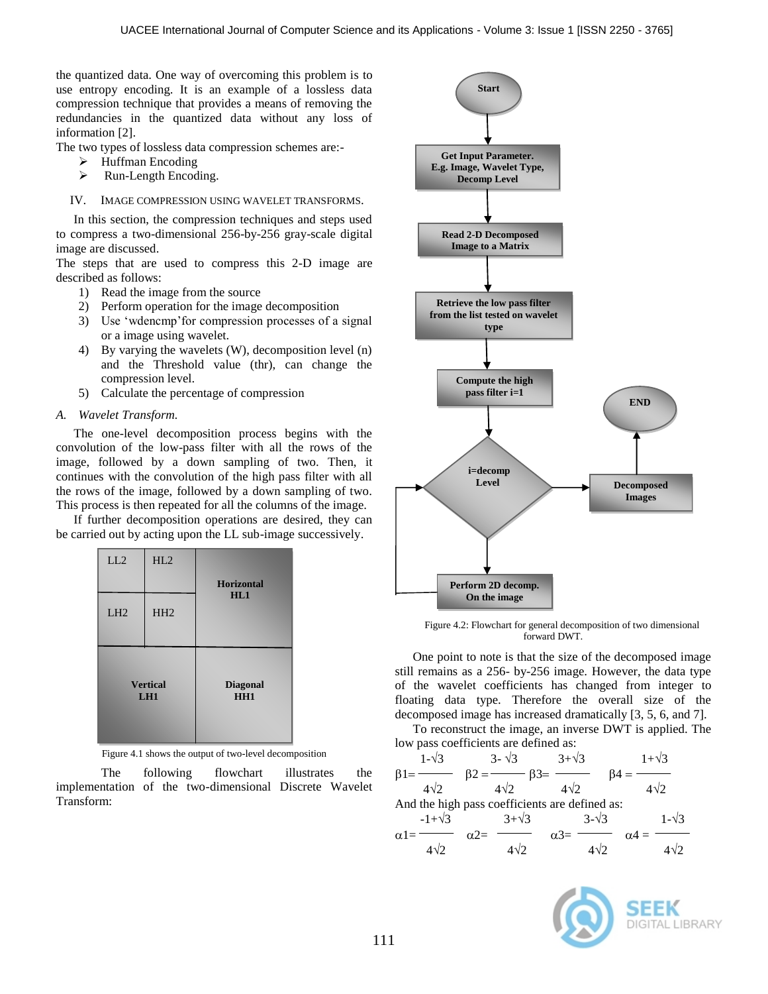the quantized data. One way of overcoming this problem is to use entropy encoding. It is an example of a lossless data compression technique that provides a means of removing the redundancies in the quantized data without any loss of information [2].

The two types of lossless data compression schemes are:-

- $\blacktriangleright$  Huffman Encoding
- $\triangleright$  Run-Length Encoding.

IV. IMAGE COMPRESSION USING WAVELET TRANSFORMS.

In this section, the compression techniques and steps used to compress a two-dimensional 256-by-256 gray-scale digital image are discussed.

The steps that are used to compress this 2-D image are described as follows:

- 1) Read the image from the source
- 2) Perform operation for the image decomposition
- 3) Use "wdencmp"for compression processes of a signal or a image using wavelet.
- 4) By varying the wavelets (W), decomposition level (n) and the Threshold value (thr), can change the compression level.
- 5) Calculate the percentage of compression

# *A. Wavelet Transform.*

The one-level decomposition process begins with the convolution of the low-pass filter with all the rows of the image, followed by a down sampling of two. Then, it continues with the convolution of the high pass filter with all the rows of the image, followed by a down sampling of two. This process is then repeated for all the columns of the image.

If further decomposition operations are desired, they can be carried out by acting upon the LL sub-image successively.



Figure 4.1 shows the output of two-level decomposition

The following flowchart illustrates the implementation of the two-dimensional Discrete Wavelet Transform:



Figure 4.2: Flowchart for general decomposition of two dimensional forward DWT.

One point to note is that the size of the decomposed image still remains as a 256- by-256 image. However, the data type of the wavelet coefficients has changed from integer to floating data type. Therefore the overall size of the decomposed image has increased dramatically [3, 5, 6, and 7].

To reconstruct the image, an inverse DWT is applied. The low pass coefficients are defined as:



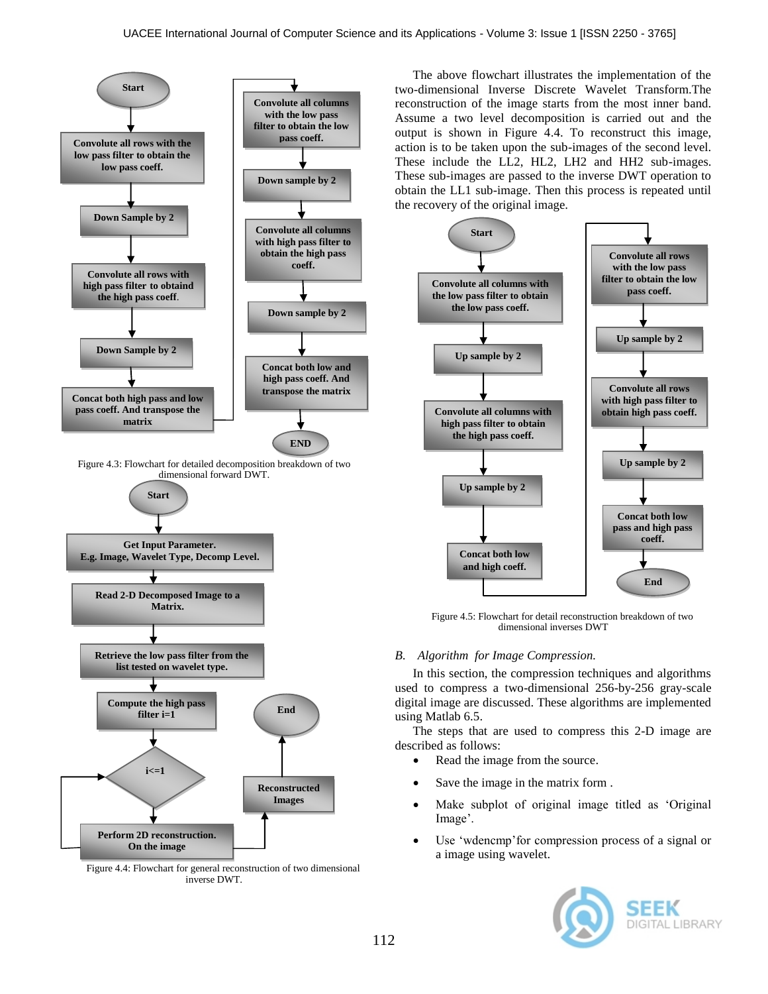

Figure 4.4: Flowchart for general reconstruction of two dimensional inverse DWT.

The above flowchart illustrates the implementation of the two-dimensional Inverse Discrete Wavelet Transform.The reconstruction of the image starts from the most inner band. Assume a two level decomposition is carried out and the output is shown in Figure 4.4. To reconstruct this image, action is to be taken upon the sub-images of the second level. These include the LL2, HL2, LH2 and HH2 sub-images. These sub-images are passed to the inverse DWT operation to obtain the LL1 sub-image. Then this process is repeated until the recovery of the original image.



Figure 4.5: Flowchart for detail reconstruction breakdown of two dimensional inverses DWT

# *B. Algorithm for Image Compression.*

In this section, the compression techniques and algorithms used to compress a two-dimensional 256-by-256 gray-scale digital image are discussed. These algorithms are implemented using Matlab 6.5.

The steps that are used to compress this 2-D image are described as follows:

- Read the image from the source.
- Save the image in the matrix form .
- Make subplot of original image titled as "Original Image'.
- Use "wdencmp"for compression process of a signal or a image using wavelet.

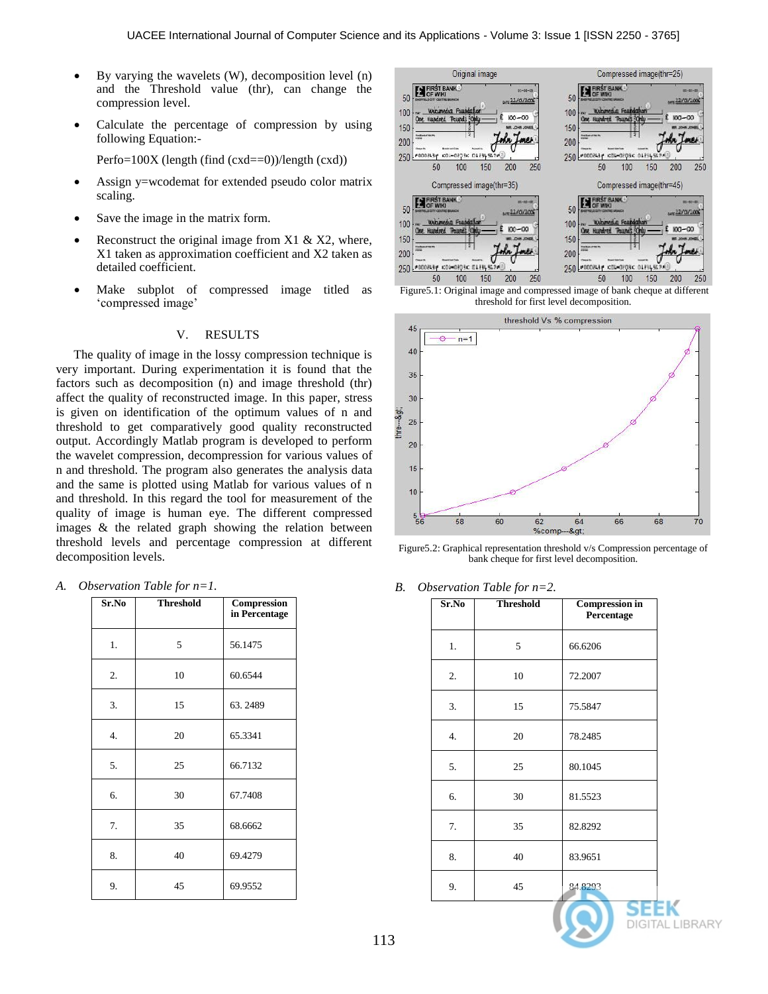- $\bullet$  By varying the wavelets (W), decomposition level (n) and the Threshold value (thr), can change the compression level.
- Calculate the percentage of compression by using following Equation:-

Perfo= $100X$  (length (find (cxd==0))/length (cxd))

- Assign y=wcodemat for extended pseudo color matrix scaling.
- Save the image in the matrix form.
- Reconstruct the original image from  $X1 \& X2$ , where, X1 taken as approximation coefficient and X2 taken as detailed coefficient.
- Make subplot of compressed image titled as 'compressed image'

## V. RESULTS

The quality of image in the lossy compression technique is very important. During experimentation it is found that the factors such as decomposition (n) and image threshold (thr) affect the quality of reconstructed image. In this paper, stress is given on identification of the optimum values of n and threshold to get comparatively good quality reconstructed output. Accordingly Matlab program is developed to perform the wavelet compression, decompression for various values of n and threshold. The program also generates the analysis data and the same is plotted using Matlab for various values of n and threshold. In this regard the tool for measurement of the quality of image is human eye. The different compressed images & the related graph showing the relation between threshold levels and percentage compression at different decomposition levels.

*A. Observation Table for n=1.*

| Sr.No | <b>Threshold</b> | Compression<br>in Percentage |
|-------|------------------|------------------------------|
| 1.    | 5                | 56.1475                      |
| 2.    | 10               | 60.6544                      |
| 3.    | 15               | 63.2489                      |
| 4.    | 20               | 65.3341                      |
| 5.    | 25               | 66.7132                      |
| 6.    | 30               | 67.7408                      |
| 7.    | 35               | 68.6662                      |
| 8.    | 40               | 69.4279                      |
| 9.    | 45               | 69.9552                      |







Figure5.2: Graphical representation threshold v/s Compression percentage of bank cheque for first level decomposition.

*B. Observation Table for n=2.*

| Sr.No | <b>Threshold</b> | <b>Compression in</b><br>Percentage |
|-------|------------------|-------------------------------------|
| 1.    | 5                | 66.6206                             |
| 2.    | 10               | 72.2007                             |
| 3.    | 15               | 75.5847                             |
| 4.    | 20               | 78.2485                             |
| 5.    | 25               | 80.1045                             |
| 6.    | 30               | 81.5523                             |
| 7.    | 35               | 82.8292                             |
| 8.    | 40               | 83.9651                             |
| 9.    | 45               | 84.8293                             |